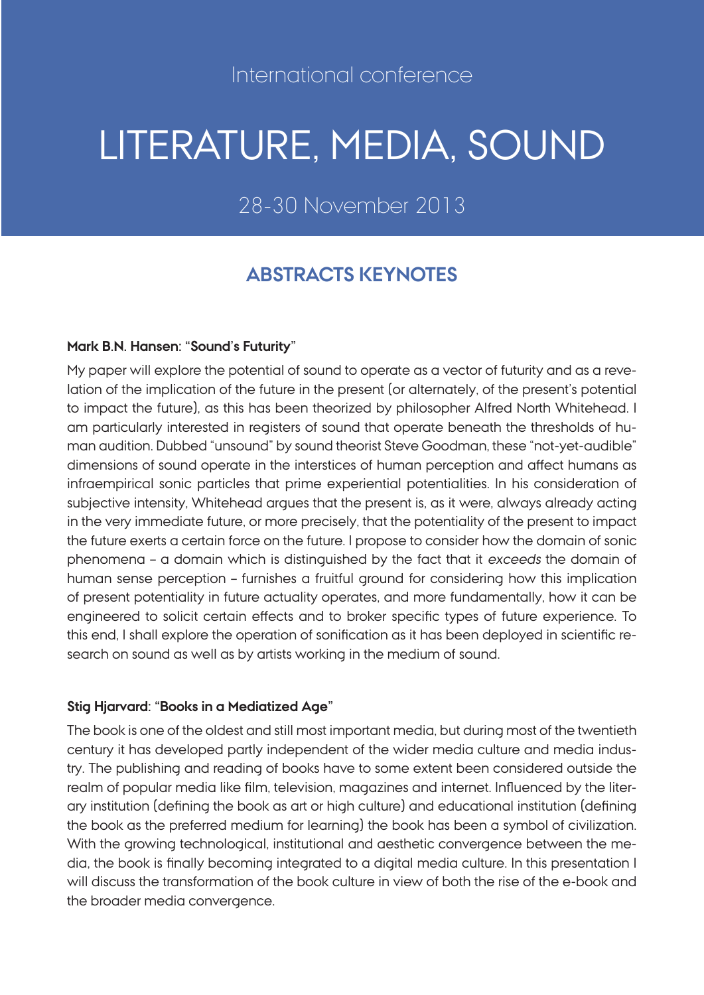# LITERATURE, MEDIA, SOUND

28-30 November 2013

# **ABSTRACTS KEYNOTES**

#### **Mark B.N. Hansen: "Sound's Futurity"**

My paper will explore the potential of sound to operate as a vector of futurity and as a revelation of the implication of the future in the present (or alternately, of the present's potential to impact the future), as this has been theorized by philosopher Alfred North Whitehead. I am particularly interested in registers of sound that operate beneath the thresholds of human audition. Dubbed "unsound" by sound theorist Steve Goodman, these "not-yet-audible" dimensions of sound operate in the interstices of human perception and affect humans as infraempirical sonic particles that prime experiential potentialities. In his consideration of subjective intensity, Whitehead argues that the present is, as it were, always already acting in the very immediate future, or more precisely, that the potentiality of the present to impact the future exerts a certain force on the future. I propose to consider how the domain of sonic phenomena – a domain which is distinguished by the fact that it exceeds the domain of human sense perception – furnishes a fruitful ground for considering how this implication of present potentiality in future actuality operates, and more fundamentally, how it can be engineered to solicit certain effects and to broker specific types of future experience. To this end, I shall explore the operation of sonification as it has been deployed in scientific research on sound as well as by artists working in the medium of sound.

#### **Stig Hjarvard: "Books in a Mediatized Age"**

The book is one of the oldest and still most important media, but during most of the twentieth century it has developed partly independent of the wider media culture and media industry. The publishing and reading of books have to some extent been considered outside the realm of popular media like film, television, magazines and internet. Influenced by the literary institution (defining the book as art or high culture) and educational institution (defining the book as the preferred medium for learning) the book has been a symbol of civilization. With the growing technological, institutional and aesthetic convergence between the media, the book is finally becoming integrated to a digital media culture. In this presentation I will discuss the transformation of the book culture in view of both the rise of the e-book and the broader media convergence.